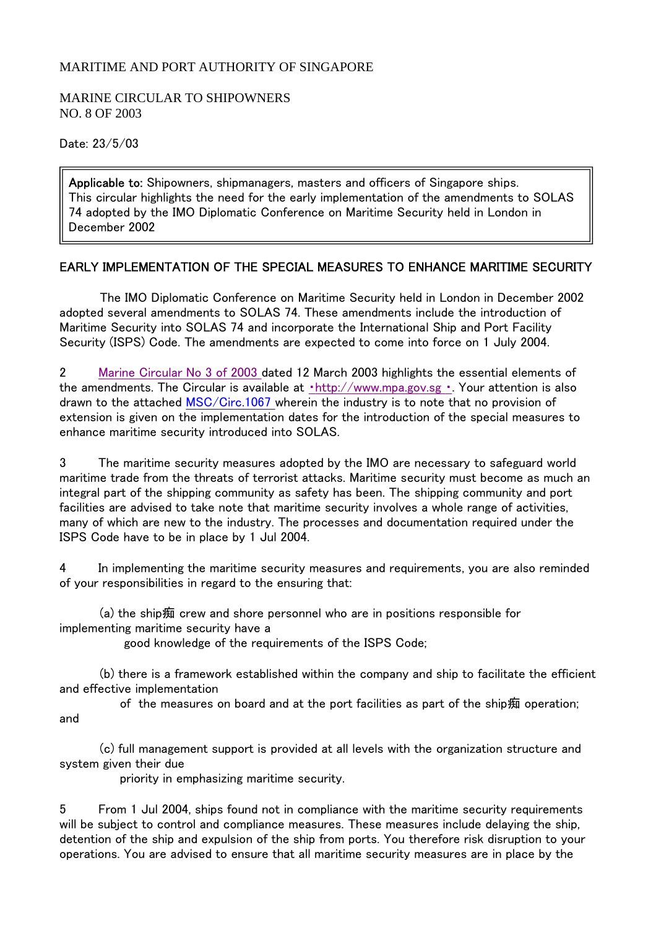## MARITIME AND PORT AUTHORITY OF SINGAPORE

## MARINE CIRCULAR TO SHIPOWNERS NO. 8 OF 2003

Date: 23/5/03

Applicable to: Shipowners, shipmanagers, masters and officers of Singapore ships. This circular highlights the need for the early implementation of the amendments to SOLAS 74 adopted by the IMO Diplomatic Conference on Maritime Security held in London in December 2002

## EARLY IMPLEMENTATION OF THE SPECIAL MEASURES TO ENHANCE MARITIME SECURITY

 The IMO Diplomatic Conference on Maritime Security held in London in December 2002 adopted several amendments to SOLAS 74. These amendments include the introduction of Maritime Security into SOLAS 74 and incorporate the International Ship and Port Facility Security (ISPS) Code. The amendments are expected to come into force on 1 July 2004.

2 Marine Circular No 3 of 2003 dated 12 March 2003 highlights the essential elements of the amendments. The Circular is available at ·http://www.mpa.gov.sg · Your attention is also drawn to the attached MSC/Circ.1067 wherein the industry is to note that no provision of extension is given on the implementation dates for the introduction of the special measures to enhance maritime security introduced into SOLAS.

3 The maritime security measures adopted by the IMO are necessary to safeguard world maritime trade from the threats of terrorist attacks. Maritime security must become as much an integral part of the shipping community as safety has been. The shipping community and port facilities are advised to take note that maritime security involves a whole range of activities, many of which are new to the industry. The processes and documentation required under the ISPS Code have to be in place by 1 Jul 2004.

4 In implementing the maritime security measures and requirements, you are also reminded of your responsibilities in regard to the ensuring that:

 (a) the ship痴 crew and shore personnel who are in positions responsible for implementing maritime security have a

good knowledge of the requirements of the ISPS Code;

 (b) there is a framework established within the company and ship to facilitate the efficient and effective implementation

 of the measures on board and at the port facilities as part of the ship痴 operation; and

 (c) full management support is provided at all levels with the organization structure and system given their due

priority in emphasizing maritime security.

5 From 1 Jul 2004, ships found not in compliance with the maritime security requirements will be subject to control and compliance measures. These measures include delaying the ship, detention of the ship and expulsion of the ship from ports. You therefore risk disruption to your operations. You are advised to ensure that all maritime security measures are in place by the